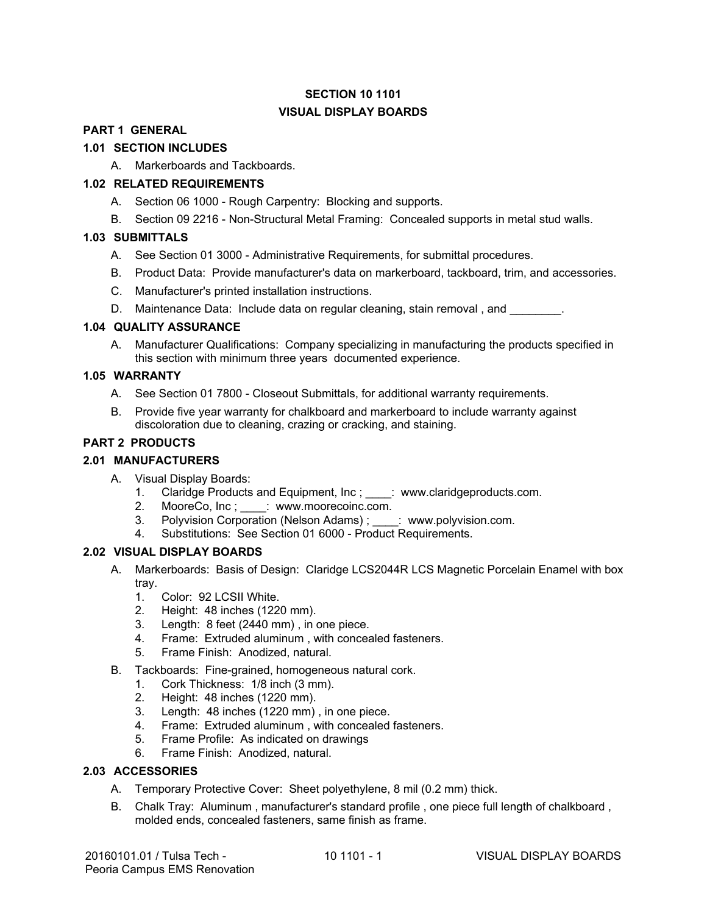## **SECTION 10 1101 VISUAL DISPLAY BOARDS**

#### **PART <sup>1</sup> GENERAL**

# **1.01 SECTION INCLUDES PART 1 GENERAL 1.01 SECTION INCLUDES**

A. Markerboards and Tackboards. A. Markerboards and Tackboards.

#### **1.02 RELATED REQUIREMENTS 1.02 RELATED REQUIREMENTS**

- A. Section 06 1000 Rough Carpentry: Blocking and supports. A. Section 06 1000 Rough Carpentry: Blocking and supports.
- B. Section 09 2216 Non-Structural Metal Framing: Concealed supports in metal stud walls. B. Section 09 2216 Non-Structural Metal Framing: Concealed supports in metal stud walls.

#### **1.03 SUBMITTALS 1.03 SUBMITTALS**

- A. See Section 01 3000 Administrative Requirements, for submittal procedures.
- A. See Section 01 3000 Administrative Requirements, for submittal procedures.<br>B. Product Data: Provide manufacturer's data on markerboard, tackboard, trim, and accessories.
- C. Manufacturer's printed installation instructions. C. Manufacturer's printed installation instructions.
- D. Maintenance Data: Include data on regular cleaning, stain removal, and \_\_\_\_\_\_\_\_.

#### **1.04 QUALITY ASSURANCE 1.04 QUALITY ASSURANCE**

A. Manufacturer Qualifications: Company specializing in manufacturing the products specified in this section with minimum three years documented experience. this section with minimum three years documented experience.

#### **1.05 WARRANTY**

- A. See Section 01 7800 Closeout Submittals, for additional warranty requirements.
- B. Provide five year warranty for chalkboard and markerboard to include warranty against discoloration due to cleaning, crazing or cracking, and staining.

#### **PART 2 PRODUCTS**

#### **2.01 MANUFACTURERS**

- A. Visual Display Boards:
	- 1. Claridge Products and Equipment, Inc ; \_\_\_\_: www.claridgeproducts.com.
	- 2. MooreCo, Inc; \_\_\_\_: www.moorecoinc.com.
	- 3. Polyvision Corporation (Nelson Adams) ; \_\_\_\_: www.polyvision.com.
	- 4. Substitutions: See Section 01 6000 Product Requirements.

#### **2.02 VISUAL DISPLAY BOARDS**

- A. Markerboards: Basis of Design: Claridge LCS2044R LCS Magnetic Porcelain Enamel with box tray.
	- 1. Color: 92 LCSII White.
	- 2. Height: 48 inches (1220 mm).
	- 3. Length: 8 feet (2440 mm) , in one piece.
	- 4. Frame: Extruded aluminum , with concealed fasteners.
	- 5. Frame Finish: Anodized, natural.
- B. Tackboards: Fine-grained, homogeneous natural cork.
	- 1. Cork Thickness: 1/8 inch (3 mm).
	- 2. Height: 48 inches (1220 mm).
	- 3. Length: 48 inches (1220 mm) , in one piece.
	- 4. Frame: Extruded aluminum , with concealed fasteners.
	- 5. Frame Profile: As indicated on drawings
	- 6. Frame Finish: Anodized, natural.

#### **2.03 ACCESSORIES**

- A. Temporary Protective Cover: Sheet polyethylene, 8 mil (0.2 mm) thick.
- B. Chalk Tray: Aluminum , manufacturer's standard profile , one piece full length of chalkboard , molded ends, concealed fasteners, same finish as frame.